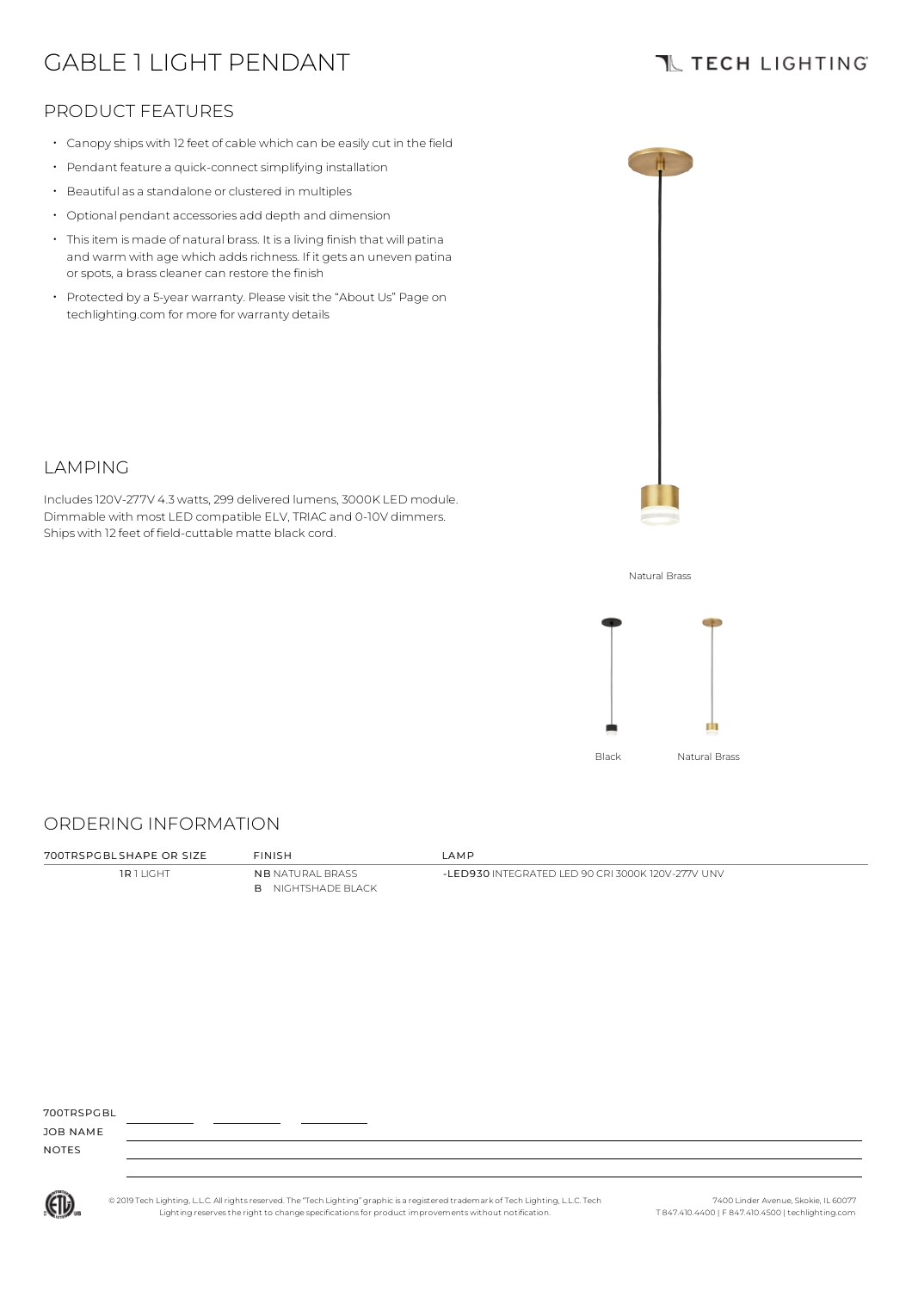# GABLE 1 LIGHT PENDANT

## **TL TECH LIGHTING**

## PRODUCT FEATURES

- Canopy ships with 12 feet of cable which can be easily cut in the field
- Pendant feature a quick-connect simplifying installation
- Beautiful as a standalone or clustered in multiples
- Optional pendant accessories add depth and dimension
- Thisitem is made of natural brass. It is a living finish that will patina and warm with age which adds richness. If it gets an uneven patina or spots, a brass cleaner can restore the finish
- Protected by a 5-year warranty. Please visit the "About Us" Page on techlighting.com for more for warranty details



### LAMPING

Includes120V-277V 4.3watts, 299 delivered lumens, 3000K LED module. Dimmable with most LED compatible ELV, TRIAC and 0-10V dimmers. Ships with 12 feet of field-cuttable matte black cord.

Natural Brass



#### ORDERING INFORMATION

**1R 1 LIGHT NB NATURAL BRASS** B NIGHTSHADE BLACK

700TRSPGBL SHAPE OR SIZE FINISH LAMP

-LED930 INTEGRATED LED 90 CRI 3000K 120V-277V UNV

700TDSPCBL

JOB NAME NOTES



© 2019 Tech Lighting, L.L.C. All rightsreserved. The "Tech Lighting" graphicis a registered trademark of Tech Lighting, L.L.C. Tech Lighting reservesthe right to change specificationsfor product improvements without notification.